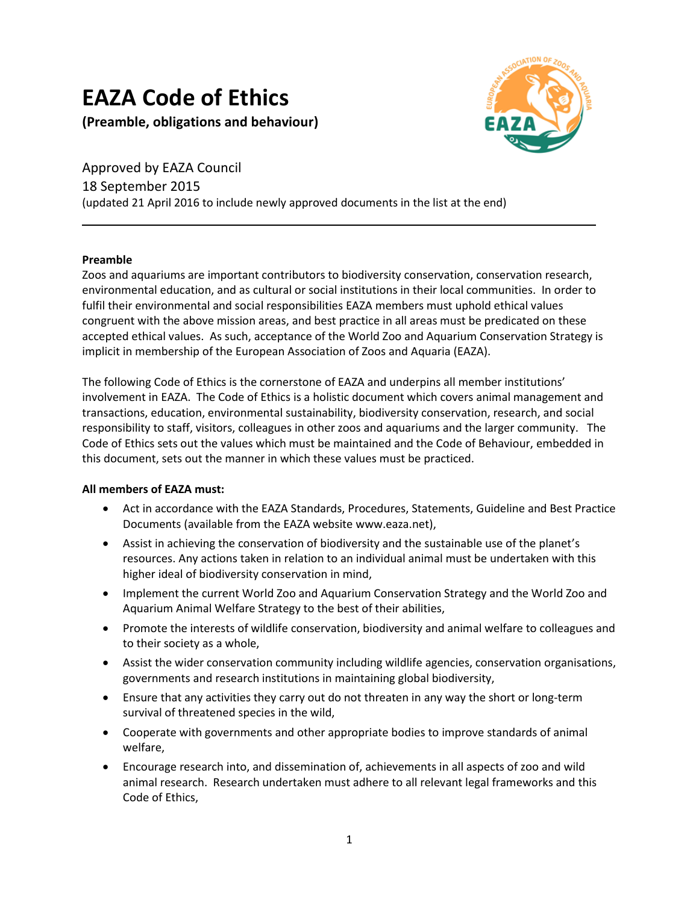# **EAZA Code of Ethics**

**(Preamble, obligations and behaviour)**



Approved by EAZA Council 18 September 2015 (updated 21 April 2016 to include newly approved documents in the list at the end)

### **Preamble**

Zoos and aquariums are important contributors to biodiversity conservation, conservation research, environmental education, and as cultural or social institutions in their local communities. In order to fulfil their environmental and social responsibilities EAZA members must uphold ethical values congruent with the above mission areas, and best practice in all areas must be predicated on these accepted ethical values. As such, acceptance of the World Zoo and Aquarium Conservation Strategy is implicit in membership of the European Association of Zoos and Aquaria (EAZA).

The following Code of Ethics is the cornerstone of EAZA and underpins all member institutions' involvement in EAZA. The Code of Ethics is a holistic document which covers animal management and transactions, education, environmental sustainability, biodiversity conservation, research, and social responsibility to staff, visitors, colleagues in other zoos and aquariums and the larger community. The Code of Ethics sets out the values which must be maintained and the Code of Behaviour, embedded in this document, sets out the manner in which these values must be practiced.

## **All members of EAZA must:**

- Act in accordance with the EAZA Standards, Procedures, Statements, Guideline and Best Practice Documents (available from the EAZA website www.eaza.net),
- Assist in achieving the conservation of biodiversity and the sustainable use of the planet's resources. Any actions taken in relation to an individual animal must be undertaken with this higher ideal of biodiversity conservation in mind,
- Implement the current World Zoo and Aquarium Conservation Strategy and the World Zoo and Aquarium Animal Welfare Strategy to the best of their abilities,
- Promote the interests of wildlife conservation, biodiversity and animal welfare to colleagues and to their society as a whole,
- Assist the wider conservation community including wildlife agencies, conservation organisations, governments and research institutions in maintaining global biodiversity,
- Ensure that any activities they carry out do not threaten in any way the short or long-term survival of threatened species in the wild,
- Cooperate with governments and other appropriate bodies to improve standards of animal welfare,
- Encourage research into, and dissemination of, achievements in all aspects of zoo and wild animal research. Research undertaken must adhere to all relevant legal frameworks and this Code of Ethics,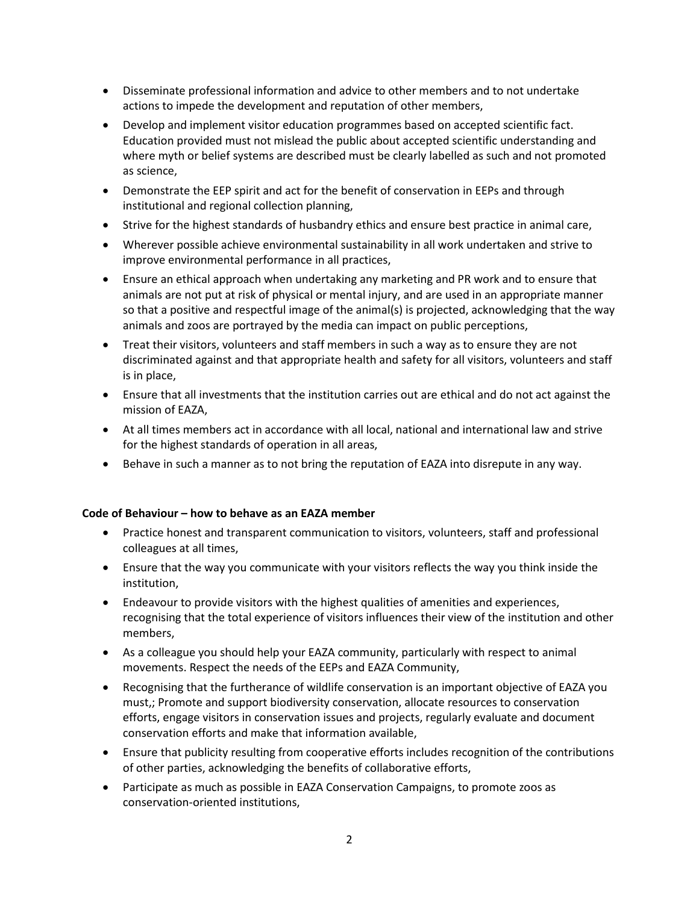- Disseminate professional information and advice to other members and to not undertake actions to impede the development and reputation of other members,
- Develop and implement visitor education programmes based on accepted scientific fact. Education provided must not mislead the public about accepted scientific understanding and where myth or belief systems are described must be clearly labelled as such and not promoted as science,
- Demonstrate the EEP spirit and act for the benefit of conservation in EEPs and through institutional and regional collection planning,
- Strive for the highest standards of husbandry ethics and ensure best practice in animal care,
- Wherever possible achieve environmental sustainability in all work undertaken and strive to improve environmental performance in all practices,
- Ensure an ethical approach when undertaking any marketing and PR work and to ensure that animals are not put at risk of physical or mental injury, and are used in an appropriate manner so that a positive and respectful image of the animal(s) is projected, acknowledging that the way animals and zoos are portrayed by the media can impact on public perceptions,
- Treat their visitors, volunteers and staff members in such a way as to ensure they are not discriminated against and that appropriate health and safety for all visitors, volunteers and staff is in place,
- Ensure that all investments that the institution carries out are ethical and do not act against the mission of EAZA,
- At all times members act in accordance with all local, national and international law and strive for the highest standards of operation in all areas,
- Behave in such a manner as to not bring the reputation of EAZA into disrepute in any way.

### **Code of Behaviour – how to behave as an EAZA member**

- Practice honest and transparent communication to visitors, volunteers, staff and professional colleagues at all times,
- Ensure that the way you communicate with your visitors reflects the way you think inside the institution,
- Endeavour to provide visitors with the highest qualities of amenities and experiences, recognising that the total experience of visitors influences their view of the institution and other members,
- As a colleague you should help your EAZA community, particularly with respect to animal movements. Respect the needs of the EEPs and EAZA Community,
- Recognising that the furtherance of wildlife conservation is an important objective of EAZA you must,; Promote and support biodiversity conservation, allocate resources to conservation efforts, engage visitors in conservation issues and projects, regularly evaluate and document conservation efforts and make that information available,
- Ensure that publicity resulting from cooperative efforts includes recognition of the contributions of other parties, acknowledging the benefits of collaborative efforts,
- Participate as much as possible in EAZA Conservation Campaigns, to promote zoos as conservation-oriented institutions,